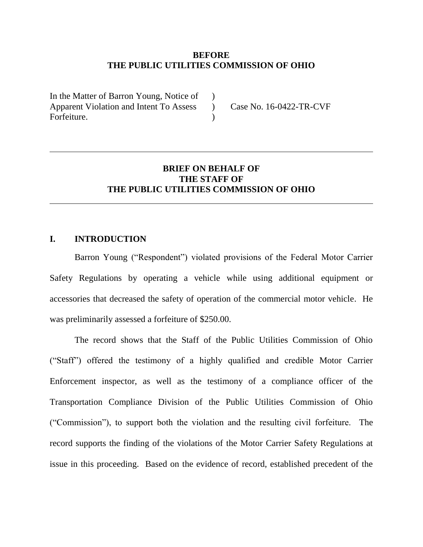#### **BEFORE THE PUBLIC UTILITIES COMMISSION OF OHIO**

 $\lambda$  $\lambda$  $\lambda$ 

In the Matter of Barron Young, Notice of Apparent Violation and Intent To Assess Forfeiture.

Case No. 16-0422-TR-CVF

## **BRIEF ON BEHALF OF THE STAFF OF THE PUBLIC UTILITIES COMMISSION OF OHIO**

### **I. INTRODUCTION**

Barron Young ("Respondent") violated provisions of the Federal Motor Carrier Safety Regulations by operating a vehicle while using additional equipment or accessories that decreased the safety of operation of the commercial motor vehicle. He was preliminarily assessed a forfeiture of \$250.00.

The record shows that the Staff of the Public Utilities Commission of Ohio ("Staff") offered the testimony of a highly qualified and credible Motor Carrier Enforcement inspector, as well as the testimony of a compliance officer of the Transportation Compliance Division of the Public Utilities Commission of Ohio ("Commission"), to support both the violation and the resulting civil forfeiture. The record supports the finding of the violations of the Motor Carrier Safety Regulations at issue in this proceeding. Based on the evidence of record, established precedent of the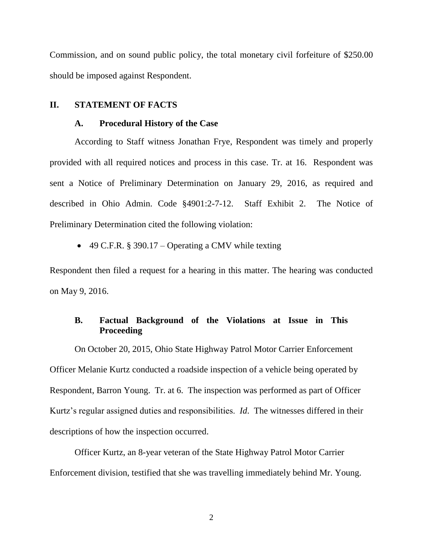Commission, and on sound public policy, the total monetary civil forfeiture of \$250.00 should be imposed against Respondent.

#### **II. STATEMENT OF FACTS**

#### **A. Procedural History of the Case**

According to Staff witness Jonathan Frye, Respondent was timely and properly provided with all required notices and process in this case. Tr. at 16. Respondent was sent a Notice of Preliminary Determination on January 29, 2016, as required and described in Ohio Admin. Code §4901:2-7-12. Staff Exhibit 2. The Notice of Preliminary Determination cited the following violation:

• 49 C.F.R. § 390.17 – Operating a CMV while texting

Respondent then filed a request for a hearing in this matter. The hearing was conducted on May 9, 2016.

# **B. Factual Background of the Violations at Issue in This Proceeding**

On October 20, 2015, Ohio State Highway Patrol Motor Carrier Enforcement Officer Melanie Kurtz conducted a roadside inspection of a vehicle being operated by Respondent, Barron Young. Tr. at 6. The inspection was performed as part of Officer Kurtz's regular assigned duties and responsibilities. *Id*. The witnesses differed in their descriptions of how the inspection occurred.

Officer Kurtz, an 8-year veteran of the State Highway Patrol Motor Carrier Enforcement division, testified that she was travelling immediately behind Mr. Young.

2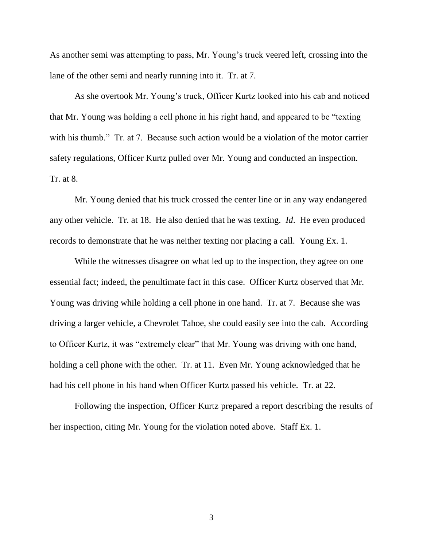As another semi was attempting to pass, Mr. Young's truck veered left, crossing into the lane of the other semi and nearly running into it. Tr. at 7.

As she overtook Mr. Young's truck, Officer Kurtz looked into his cab and noticed that Mr. Young was holding a cell phone in his right hand, and appeared to be "texting with his thumb." Tr. at 7. Because such action would be a violation of the motor carrier safety regulations, Officer Kurtz pulled over Mr. Young and conducted an inspection. Tr. at 8.

Mr. Young denied that his truck crossed the center line or in any way endangered any other vehicle. Tr. at 18. He also denied that he was texting. *Id*. He even produced records to demonstrate that he was neither texting nor placing a call. Young Ex. 1.

While the witnesses disagree on what led up to the inspection, they agree on one essential fact; indeed, the penultimate fact in this case. Officer Kurtz observed that Mr. Young was driving while holding a cell phone in one hand. Tr. at 7. Because she was driving a larger vehicle, a Chevrolet Tahoe, she could easily see into the cab. According to Officer Kurtz, it was "extremely clear" that Mr. Young was driving with one hand, holding a cell phone with the other. Tr. at 11. Even Mr. Young acknowledged that he had his cell phone in his hand when Officer Kurtz passed his vehicle. Tr. at 22.

Following the inspection, Officer Kurtz prepared a report describing the results of her inspection, citing Mr. Young for the violation noted above. Staff Ex. 1.

3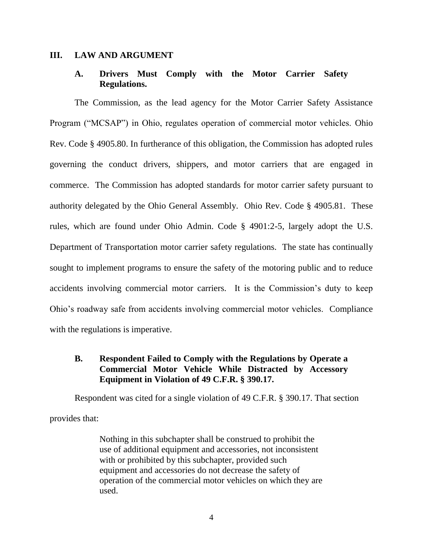#### **III. LAW AND ARGUMENT**

### **A. Drivers Must Comply with the Motor Carrier Safety Regulations.**

The Commission, as the lead agency for the Motor Carrier Safety Assistance Program ("MCSAP") in Ohio, regulates operation of commercial motor vehicles. Ohio Rev. Code § 4905.80. In furtherance of this obligation, the Commission has adopted rules governing the conduct drivers, shippers, and motor carriers that are engaged in commerce. The Commission has adopted standards for motor carrier safety pursuant to authority delegated by the Ohio General Assembly. Ohio Rev. Code § 4905.81. These rules, which are found under Ohio Admin. Code § 4901:2-5, largely adopt the U.S. Department of Transportation motor carrier safety regulations. The state has continually sought to implement programs to ensure the safety of the motoring public and to reduce accidents involving commercial motor carriers. It is the Commission's duty to keep Ohio's roadway safe from accidents involving commercial motor vehicles. Compliance with the regulations is imperative.

## **B. Respondent Failed to Comply with the Regulations by Operate a Commercial Motor Vehicle While Distracted by Accessory Equipment in Violation of 49 C.F.R. § 390.17.**

Respondent was cited for a single violation of 49 C.F.R. § 390.17. That section provides that:

> Nothing in this subchapter shall be construed to prohibit the use of additional equipment and accessories, not inconsistent with or prohibited by this subchapter, provided such equipment and accessories do not decrease the safety of operation of the commercial motor vehicles on which they are used.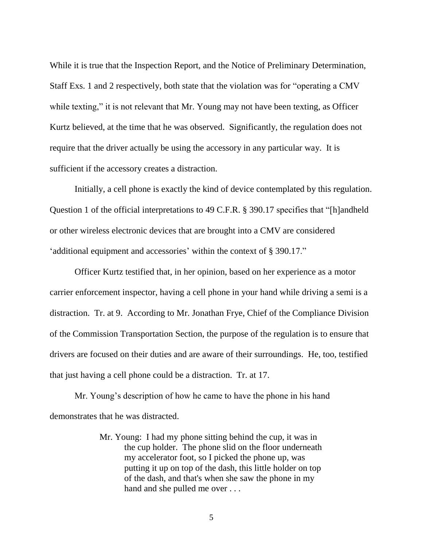While it is true that the Inspection Report, and the Notice of Preliminary Determination, Staff Exs. 1 and 2 respectively, both state that the violation was for "operating a CMV while texting," it is not relevant that Mr. Young may not have been texting, as Officer Kurtz believed, at the time that he was observed. Significantly, the regulation does not require that the driver actually be using the accessory in any particular way. It is sufficient if the accessory creates a distraction.

Initially, a cell phone is exactly the kind of device contemplated by this regulation. Question 1 of the official interpretations to 49 C.F.R. § 390.17 specifies that "[h]andheld or other wireless electronic devices that are brought into a CMV are considered 'additional equipment and accessories' within the context of § 390.17."

Officer Kurtz testified that, in her opinion, based on her experience as a motor carrier enforcement inspector, having a cell phone in your hand while driving a semi is a distraction. Tr. at 9. According to Mr. Jonathan Frye, Chief of the Compliance Division of the Commission Transportation Section, the purpose of the regulation is to ensure that drivers are focused on their duties and are aware of their surroundings. He, too, testified that just having a cell phone could be a distraction. Tr. at 17.

Mr. Young's description of how he came to have the phone in his hand demonstrates that he was distracted.

> Mr. Young: I had my phone sitting behind the cup, it was in the cup holder. The phone slid on the floor underneath my accelerator foot, so I picked the phone up, was putting it up on top of the dash, this little holder on top of the dash, and that's when she saw the phone in my hand and she pulled me over . . .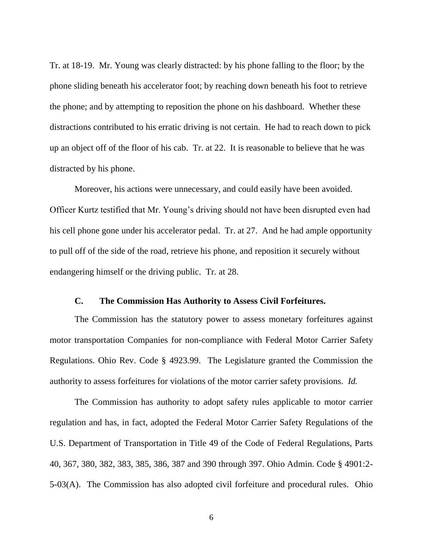Tr. at 18-19. Mr. Young was clearly distracted: by his phone falling to the floor; by the phone sliding beneath his accelerator foot; by reaching down beneath his foot to retrieve the phone; and by attempting to reposition the phone on his dashboard. Whether these distractions contributed to his erratic driving is not certain. He had to reach down to pick up an object off of the floor of his cab. Tr. at 22. It is reasonable to believe that he was distracted by his phone.

Moreover, his actions were unnecessary, and could easily have been avoided. Officer Kurtz testified that Mr. Young's driving should not have been disrupted even had his cell phone gone under his accelerator pedal. Tr. at 27. And he had ample opportunity to pull off of the side of the road, retrieve his phone, and reposition it securely without endangering himself or the driving public. Tr. at 28.

### **C. The Commission Has Authority to Assess Civil Forfeitures.**

The Commission has the statutory power to assess monetary forfeitures against motor transportation Companies for non-compliance with Federal Motor Carrier Safety Regulations. Ohio Rev. Code § 4923.99. The Legislature granted the Commission the authority to assess forfeitures for violations of the motor carrier safety provisions. *Id.*

The Commission has authority to adopt safety rules applicable to motor carrier regulation and has, in fact, adopted the Federal Motor Carrier Safety Regulations of the U.S. Department of Transportation in Title 49 of the Code of Federal Regulations, Parts 40, 367, 380, 382, 383, 385, 386, 387 and 390 through 397. Ohio Admin. Code § 4901:2- 5-03(A). The Commission has also adopted civil forfeiture and procedural rules. Ohio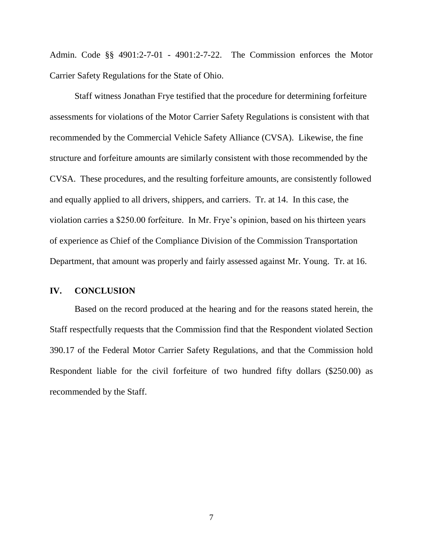Admin. Code §§ 4901:2-7-01 - 4901:2-7-22. The Commission enforces the Motor Carrier Safety Regulations for the State of Ohio.

Staff witness Jonathan Frye testified that the procedure for determining forfeiture assessments for violations of the Motor Carrier Safety Regulations is consistent with that recommended by the Commercial Vehicle Safety Alliance (CVSA). Likewise, the fine structure and forfeiture amounts are similarly consistent with those recommended by the CVSA. These procedures, and the resulting forfeiture amounts, are consistently followed and equally applied to all drivers, shippers, and carriers. Tr. at 14. In this case, the violation carries a \$250.00 forfeiture. In Mr. Frye's opinion, based on his thirteen years of experience as Chief of the Compliance Division of the Commission Transportation Department, that amount was properly and fairly assessed against Mr. Young. Tr. at 16.

### **IV. CONCLUSION**

Based on the record produced at the hearing and for the reasons stated herein, the Staff respectfully requests that the Commission find that the Respondent violated Section 390.17 of the Federal Motor Carrier Safety Regulations, and that the Commission hold Respondent liable for the civil forfeiture of two hundred fifty dollars (\$250.00) as recommended by the Staff.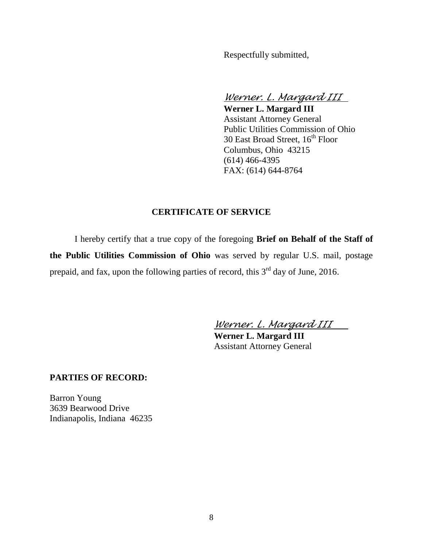Respectfully submitted,

*Werner. L. Margard III*

**Werner L. Margard III** Assistant Attorney General Public Utilities Commission of Ohio 30 East Broad Street,  $16^{th}$  Floor Columbus, Ohio 43215 (614) 466-4395 FAX: (614) 644-8764

### **CERTIFICATE OF SERVICE**

I hereby certify that a true copy of the foregoing **Brief on Behalf of the Staff of the Public Utilities Commission of Ohio** was served by regular U.S. mail, postage prepaid, and fax, upon the following parties of record, this  $3<sup>rd</sup>$  day of June, 2016.

*Werner. L. Margard III*

**Werner L. Margard III** Assistant Attorney General

#### **PARTIES OF RECORD:**

Barron Young 3639 Bearwood Drive Indianapolis, Indiana 46235